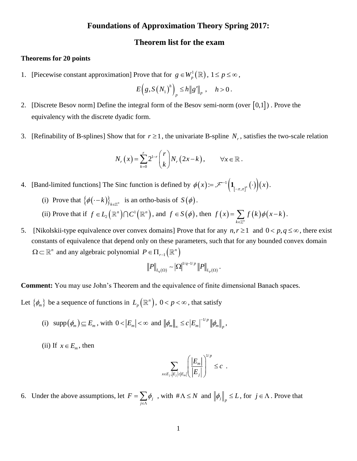# **Foundations of Approximation Theory Spring 2017:**

## **Theorem list for the exam**

### **Theorems for 20 points**

1. [Piecewise constant approximation] Prove that for  $g \in W_p^1(\mathbb{R})$  $g \in W^1_p(\mathbb{R}), 1 \leq p \leq \infty$  ,

$$
E\Big(g, S\big(N_1\big)^h\Big)_p \leq h \|g'\|_p \ , \quad h>0 \, .
$$

- 2. [Discrete Besov norm] Define the integral form of the Besov semi-norm (over  $[0,1]$ ). Prove the equivalency with the discrete dyadic form.
- 3. [Refinability of B-splines] Show that for  $r \ge 1$ , the univariate B-spline  $N_r$ , satisfies the two-scale relation

$$
N_r(x) = \sum_{k=0}^r 2^{1-r} {r \choose k} N_r(2x-k), \qquad \forall x \in \mathbb{R}.
$$

4. [Band-limited functions] The Sinc function is defined by  $\phi(x) = \mathcal{F}^{-1}(\mathbf{1}_{[-\pi,\pi]^n}(\cdot))(x)$  $\phi(x) := \mathcal{F}^{-1}\left(1_{\left[-\pi,\pi\right]^n}\left(\cdot\right)\right)\left(x\right)$ Ξ.  $=\mathscr{F}^{-1}(\mathbf{1}_{\mathsf{r}}\mathsf{r}_{\mathsf{n}'}(\cdot))(x).$ 

- (i) Prove that  $\{\phi(-k)\}_{k \in \mathbb{Z}^n}$  is an ortho-basis of  $S(\phi)$ .
- (ii) Prove that if  $f \in L_2(\mathbb{R}^n) \cap C^1(\mathbb{R}^n)$  $f \in L_2(\mathbb{R}^n) \cap C^1(\mathbb{R}^n)$ , and  $f \in S(\phi)$ , then  $f(x) = \sum_{k \in \mathbb{Z}^n} f(k) \phi(x-k)$  $f(x) = \sum f(k)\phi(x-k).$ F.
- 5. [Nikolskii-type equivalence over convex domains] Prove that for any  $n, r \ge 1$  and  $0 < p, q \le \infty$ , there exist constants of equivalence that depend only on these parameters, such that for any bounded convex domain  $\Omega \subset \mathbb{R}^n$  and any algebraic polynomial  $P \in \Pi_{r-1}(\mathbb{R}^n)$

$$
\left\|P\right\|_{L_q(\Omega)} \sim \left|\Omega\right|^{1/q-1/p} \left\|P\right\|_{L_p(\Omega)}.
$$

**Comment:** You may use John's Theorem and the equivalence of finite dimensional Banach spaces.

Let  $\{\phi_m\}$  be a sequence of functions in  $L_p\left(\mathbb{R}^n\right)$ ,  $0 < p < \infty$ , that satisfy

(i)  $\text{supp}(\phi_m) \subseteq E_m$ , with  $0 < |E_m| < \infty$  and  $\|\phi_m\|_{\infty} \le c |E_m|^{-1/p}$  $\left\| \phi_m \right\|_{\infty} \leq c \left| E_m \right|^{-1/p} \left\| \phi_m \right\|_{p},$ 

(ii) If  $x \in E_m$ , then

$$
\sum_{x \in E_j, |E_j| \ge |E_m|} \left( \frac{|E_m|}{|E_j|} \right)^{1/p} \le c.
$$

6. Under the above assumptions, let  $F = \sum_i \phi_i$ *j*  $F = \sum \phi$ ∈Λ  $=\sum \phi_j$ , with  $\#\Lambda \le N$  and  $\left\|\phi_j\right\|_p \le L$ , for  $j \in \Lambda$ . Prove that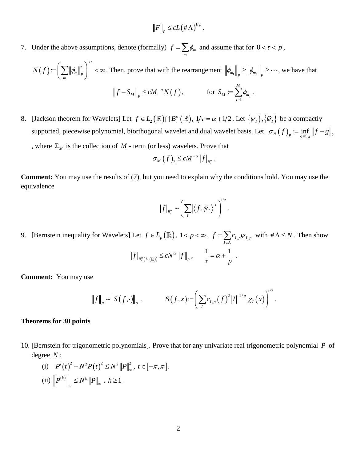$$
\|F\|_p \leq cL(\#\Lambda)^{1/p}.
$$

7. Under the above assumptions, denote (formally)  $f = \sum_i \phi_m$  $f = \sum_{m} \phi_m$  and assume that for  $0 < \tau < p$ ,

$$
N(f) := \left(\sum_{m} \|\phi_m\|_p^r\right)^{1/r} < \infty. \text{ Then, prove that with the rearrangement } \left\|\phi_{m_1}\right\|_p \ge \left\|\phi_{m_2}\right\|_p \ge \cdots, \text{ we have that}
$$
\n
$$
\left\|f - S_M\right\|_p \le cM^{-\alpha} N(f), \qquad \text{for } S_M := \sum_{j=1}^M \phi_{m_j}.
$$

8. [Jackson theorem for Wavelets] Let  $f \in L_2(\mathbb{R}) \cap B_r^{\alpha}(\mathbb{R})$ ,  $1/\tau = \alpha + 1/2$ . Let  $\{\psi_I\}, \{\tilde{\psi}_I\}$  be a compactly supported, piecewise polynomial, biorthogonal wavelet and dual wavelet basis. Let  $\sigma_N(f)$ <sub>n</sub>  $:= \inf_{x \in \overline{N}} \|f - g\|_2$  $\sigma_N(f)_p \coloneqq \inf_{g \in \Sigma_M} \|f - g\|$ , where  $\Sigma_M$  is the collection of  $M$  - term (or less) wavelets. Prove that

$$
\sigma_M(f)_2 \le c M^{-\alpha} |f|_{B_t^{\alpha}}.
$$

**Comment:** You may use the results of (7), but you need to explain why the conditions hold. You may use the equivalence

$$
\left|f\right|_{B_r^{\alpha}} \sim \left(\sum_I \left|\left\langle f,\tilde{\psi}_I\right\rangle\right|^r\right)^{1/r}.
$$

9. [Bernstein inequality for Wavelets] Let  $f \in L_p(\mathbb{R})$ ,  $1 < p < \infty$ ,  $f = \sum_{l \in \Lambda} c_{l,p} \psi_{l,p}$  $f = \sum c_i w_i \psi$  $=\sum_{I\in\Lambda}c_{I,p}\psi_{I,p}$  with  $\#\Lambda \leq N$ . Then show

$$
\left|f\right|_{B_r^{\alpha}(L_r(\mathbb{R}))} \le cN^{\alpha} \left\|f\right\|_p, \qquad \frac{1}{\tau} = \alpha + \frac{1}{p}.
$$

**Comment:** You may use

$$
\|f\|_p \sim \|S(f,\cdot)\|_p , \qquad S(f,x) := \left(\sum_{I} c_{I,p} (f)^2 |I|^{-2/p} \chi_I(x)\right)^{1/2}.
$$

#### **Theorems for 30 points**

10. [Bernstein for trigonometric polynomials]. Prove that for any univariate real trigonometric polynomial *P* of degree *N* :

(i) 
$$
P'(t)^2 + N^2 P(t)^2 \le N^2 ||P||_{\infty}^2, t \in [-\pi, \pi].
$$
  
\n(ii)  $||P^{(k)}||_{\infty} \le N^k ||P||_{\infty}, k \ge 1.$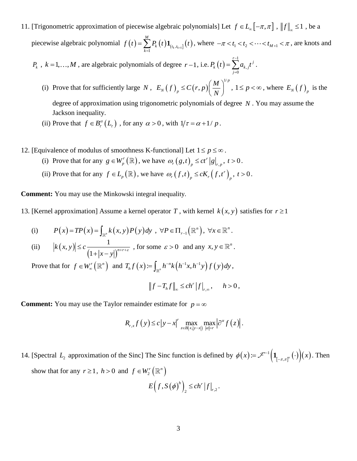11. [Trigonometric approximation of piecewise algebraic polynomials] Let  $f \in L_{\infty}[-\pi, \pi]$ ,  $||f||_{\infty} \le 1$ , be a piecewise algebraic polynomial  $f(t) = \sum_{k=1} P_k(t) \mathbf{1}_{(t_k, t_{k+1}]}(t)$ *M*  $\sum_{k=1}^{\infty}$ **<sup>***k***</sup>**  $\binom{t}{k}$ **<sup>** $\blacktriangle$ **</sup>** $\binom{t_k, t}{k}$  $f(t) = \sum_{k=1}^{n} P_k(t) \mathbf{1}_{(t_k, t_{k+1}]}(t)$ , where  $-\pi < t_1 < t_2 < \cdots < t_{M+1} < \pi$ , are knots and

 $P_k$ ,  $k = 1,..., M$ , are algebraic polynomials of degree  $r-1$ , i.e.  $P_k(t) = \sum_{k=1}^{r-1} P_k(t)$ , 0  $\sum_{i=1}^{r-1} a_i t^j$  $P_k(t) = \sum_{k=1}^{n-1} a_{k,j} t^j$ . *j*

- (i) Prove that for sufficiently large N,  $E_N(f) \leq C(r, p)$ 1/ , *p N p*  $E_N(f)_p \leq C(r,p) \left(\frac{M}{N}\right)^{1/p},$ ,  $1 \le p < \infty$ , where  $E_N(f)_{p}$  is the degree of approximation using trigonometric polynomials of degree *N* . You may assume the Jackson inequality.
- (ii) Prove that  $f \in B_r^{\alpha}(L_r)$ , for any  $\alpha > 0$ , with  $1/\tau = \alpha + 1/p$ .
- 12. [Equivalence of modulus of smoothness K-functional] Let  $1 \le p \le \infty$ .
	- (i) Prove that for any  $g \in W_p^r(\mathbb{R})$  $g \in W_p^r(\mathbb{R})$ , we have  $\omega_r(g,t)_{p} \le ct^r |g|_{r,1}$  $\omega_r(g,t)_p \le ct^r |g|_{r,p}, t>0.$
	- (ii) Prove that for any  $f \in L_p(\mathbb{R})$ , we have  $\omega_r(f,t)_p \le cK_r(f,t^r)_p$  $\omega_r(f,t)_p \le cK_r(f,t^r)_p, t > 0.$

**Comment:** You may use the Minkowski integral inequality.

13. [Kernel approximation] Assume a kernel operator T, with kernel  $k(x, y)$  satisfies for  $r \ge 1$ 

(i) 
$$
P(x) = TP(x) = \int_{\mathbb{R}^n} k(x, y) P(y) dy, \ \forall P \in \Pi_{r-1}(\mathbb{R}^n), \ \forall x \in \mathbb{R}^n.
$$

(ii) 
$$
|k(x, y)| \leq c \frac{1}{(1+|x-y|)^{n+r+\varepsilon}}
$$
, for some  $\varepsilon > 0$  and any  $x, y \in \mathbb{R}^n$ .

Prove that for  $f \in W_{\infty}^r(\mathbb{R}^n)$  and  $T_h f(x) := \int_{\mathbb{R}^n} h^{-n} k(h^{-1}x, h^{-1}y) f(y)$  $T_h f(x) \coloneqq \int_{\mathbb{R}^n} h^{-n} k\left(h^{-1}x, h^{-1}y\right) f(y) dy,$ 

$$
||f - T_h f||_{\infty} \le ch^r |f|_{r,\infty}, \quad h > 0,
$$

**Comment:** You may use the Taylor remainder estimate for  $p = \infty$ 

$$
R_{r,x}f(y) \leq c\left|y-x\right|^{r} \max_{z \in B(x,|y-x|)} \max_{|\alpha|=r} \left|\partial^{\alpha} f(z)\right|.
$$

14. [Spectral  $L_2$  approximation of the Sinc] The Sinc function is defined by  $\phi(x) = \mathcal{F}^{-1}(\mathbf{1}_{[-\pi,\pi]^n}(\cdot))(x)$  $\phi(x) := \mathcal{F}^{-1}\left(\mathbf{1}_{[-\pi,\pi]^n}\left(\cdot\right)\right)(x)$  $=\mathscr{F}^{-1}\left(\mathbf{1}_{\left[-\pi,\pi\right]^n}\left(\cdot\right)\right)(x)$ . Then show that for any  $r \ge 1$ ,  $h > 0$  and  $f \in W_2^r(\mathbb{R}^n)$ 

$$
E\left(f,S\left(\phi\right)^{h}\right)_{2} \leq c h^{r} \left|f\right|_{r,2}.
$$